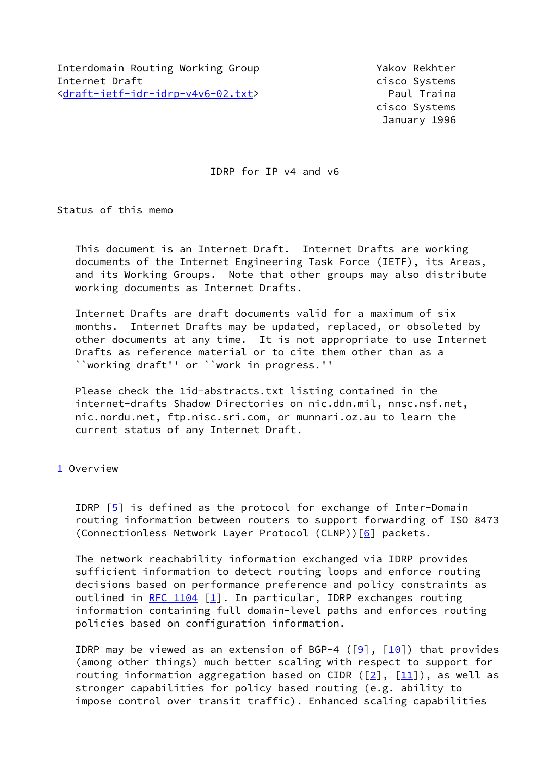cisco Systems January 1996

IDRP for IP v4 and v6

Status of this memo

 This document is an Internet Draft. Internet Drafts are working documents of the Internet Engineering Task Force (IETF), its Areas, and its Working Groups. Note that other groups may also distribute working documents as Internet Drafts.

 Internet Drafts are draft documents valid for a maximum of six months. Internet Drafts may be updated, replaced, or obsoleted by other documents at any time. It is not appropriate to use Internet Drafts as reference material or to cite them other than as a ``working draft'' or ``work in progress.''

 Please check the 1id-abstracts.txt listing contained in the internet-drafts Shadow Directories on nic.ddn.mil, nnsc.nsf.net, nic.nordu.net, ftp.nisc.sri.com, or munnari.oz.au to learn the current status of any Internet Draft.

<span id="page-0-0"></span>[1](#page-0-0) Overview

 IDRP [\[5\]](#page-22-0) is defined as the protocol for exchange of Inter-Domain routing information between routers to support forwarding of ISO 8473 (Connectionless Network Layer Protocol (CLNP))[[6\]](#page-23-0) packets.

 The network reachability information exchanged via IDRP provides sufficient information to detect routing loops and enforce routing decisions based on performance preference and policy constraints as outlined in  $RFC 1104 [1]$  $RFC 1104 [1]$ . In particular, IDRP exchanges routing information containing full domain-level paths and enforces routing policies based on configuration information.

IDRP may be viewed as an extension of BGP-4 ( $[9]$ ,  $[10]$  $[10]$ ) that provides (among other things) much better scaling with respect to support for routing information aggregation based on CIDR ( $[2]$  $[2]$ ,  $[11]$ ), as well as stronger capabilities for policy based routing (e.g. ability to impose control over transit traffic). Enhanced scaling capabilities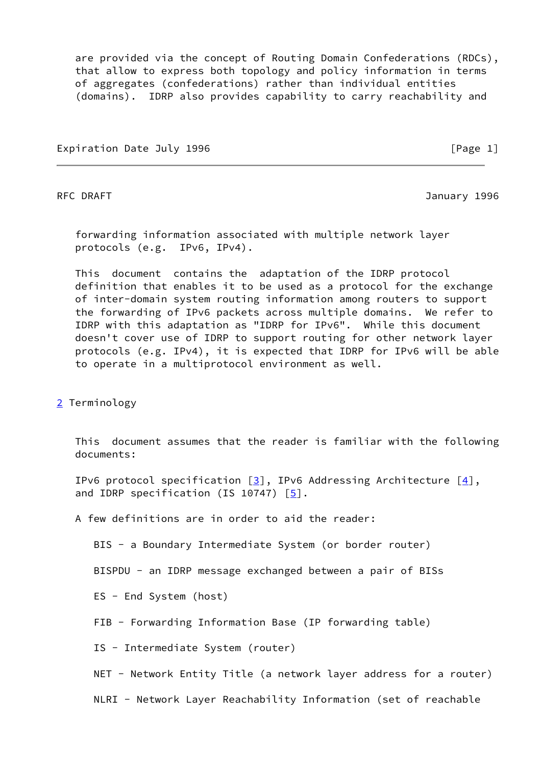are provided via the concept of Routing Domain Confederations (RDCs), that allow to express both topology and policy information in terms of aggregates (confederations) rather than individual entities (domains). IDRP also provides capability to carry reachability and

Expiration Date July 1996 **by the Contract Contract Contract Contract Contract Contract Contract Contract Contract** 

RFC DRAFT 3996

 forwarding information associated with multiple network layer protocols (e.g. IPv6, IPv4).

 This document contains the adaptation of the IDRP protocol definition that enables it to be used as a protocol for the exchange of inter-domain system routing information among routers to support the forwarding of IPv6 packets across multiple domains. We refer to IDRP with this adaptation as "IDRP for IPv6". While this document doesn't cover use of IDRP to support routing for other network layer protocols (e.g. IPv4), it is expected that IDRP for IPv6 will be able to operate in a multiprotocol environment as well.

<span id="page-1-0"></span>[2](#page-1-0) Terminology

 This document assumes that the reader is familiar with the following documents:

IPv6 protocol specification  $[3]$  $[3]$ , IPv6 Addressing Architecture  $[4]$  $[4]$ , and IDRP specification (IS 10747)  $\lceil 5 \rceil$ .

A few definitions are in order to aid the reader:

BIS - a Boundary Intermediate System (or border router)

BISPDU - an IDRP message exchanged between a pair of BISs

ES - End System (host)

FIB - Forwarding Information Base (IP forwarding table)

IS - Intermediate System (router)

NET - Network Entity Title (a network layer address for a router)

NLRI - Network Layer Reachability Information (set of reachable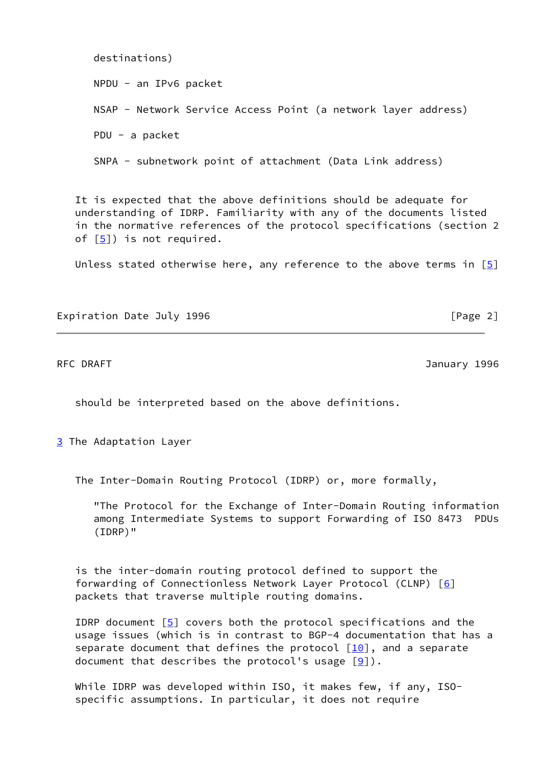destinations) NPDU - an IPv6 packet NSAP - Network Service Access Point (a network layer address) PDU - a packet SNPA - subnetwork point of attachment (Data Link address)

 It is expected that the above definitions should be adequate for understanding of IDRP. Familiarity with any of the documents listed in the normative references of the protocol specifications (section 2 of  $[5]$  $[5]$ ) is not required.

Unless stated otherwise here, any reference to the above terms in  $[5]$  $[5]$ 

Expiration Date July 1996 **by the Contract Contract Contract Contract Contract Contract Contract Contract Contract** 

RFC DRAFT 3996

should be interpreted based on the above definitions.

<span id="page-2-0"></span>[3](#page-2-0) The Adaptation Layer

The Inter-Domain Routing Protocol (IDRP) or, more formally,

 "The Protocol for the Exchange of Inter-Domain Routing information among Intermediate Systems to support Forwarding of ISO 8473 PDUs (IDRP)"

 is the inter-domain routing protocol defined to support the forwarding of Connectionless Network Layer Protocol (CLNP) [[6\]](#page-23-0) packets that traverse multiple routing domains.

IDRP document  $\lceil 5 \rceil$  covers both the protocol specifications and the usage issues (which is in contrast to BGP-4 documentation that has a separate document that defines the protocol  $[10]$ , and a separate document that describes the protocol's usage  $[9]$ ).

 While IDRP was developed within ISO, it makes few, if any, ISO specific assumptions. In particular, it does not require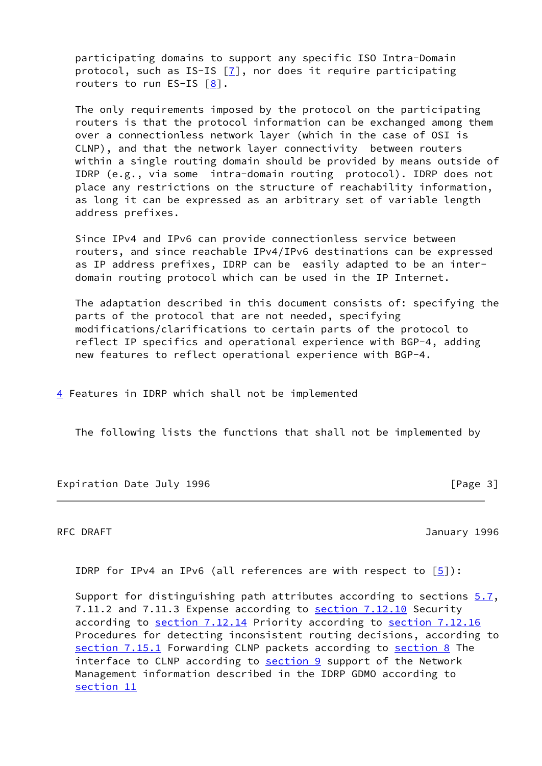participating domains to support any specific ISO Intra-Domain protocol, such as IS-IS  $[7]$  $[7]$ , nor does it require participating routers to run ES-IS [\[8\]](#page-23-5).

 The only requirements imposed by the protocol on the participating routers is that the protocol information can be exchanged among them over a connectionless network layer (which in the case of OSI is CLNP), and that the network layer connectivity between routers within a single routing domain should be provided by means outside of IDRP (e.g., via some intra-domain routing protocol). IDRP does not place any restrictions on the structure of reachability information, as long it can be expressed as an arbitrary set of variable length address prefixes.

 Since IPv4 and IPv6 can provide connectionless service between routers, and since reachable IPv4/IPv6 destinations can be expressed as IP address prefixes, IDRP can be easily adapted to be an inter domain routing protocol which can be used in the IP Internet.

 The adaptation described in this document consists of: specifying the parts of the protocol that are not needed, specifying modifications/clarifications to certain parts of the protocol to reflect IP specifics and operational experience with BGP-4, adding new features to reflect operational experience with BGP-4.

<span id="page-3-0"></span>[4](#page-3-0) Features in IDRP which shall not be implemented

The following lists the functions that shall not be implemented by

Expiration Date July 1996 **by the Contract Contract Contract Contract** Page 3]

RFC DRAFT 3996

IDRP for IPv4 an IPv6 (all references are with respect to  $[5]$  $[5]$ ):

Support for distinguishing path attributes according to sections  $5.7$ , 7.11.2 and 7.11.3 Expense according to section 7.12.10 Security according to section 7.12.14 Priority according to section 7.12.16 Procedures for detecting inconsistent routing decisions, according to section 7.15.1 Forwarding CLNP packets according to [section 8](#page-16-0) The interface to CLNP according to [section 9](#page-17-0) support of the Network Management information described in the IDRP GDMO according to [section 11](#page-19-0)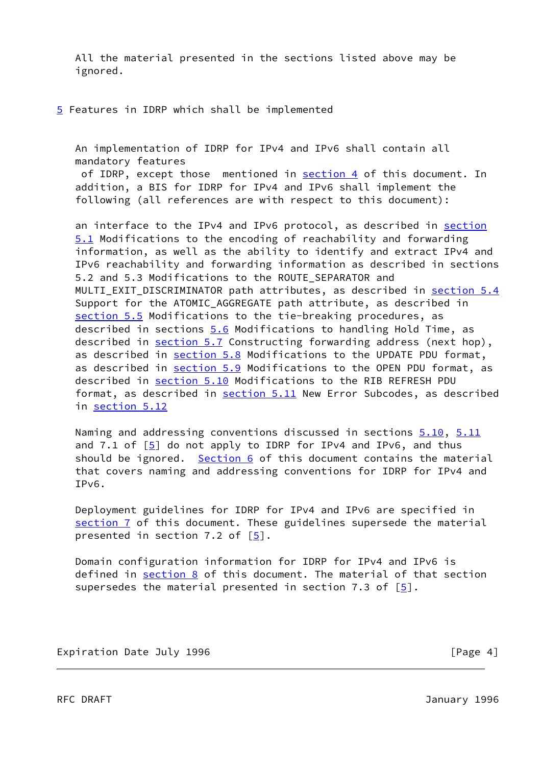All the material presented in the sections listed above may be ignored.

<span id="page-4-0"></span>[5](#page-4-0) Features in IDRP which shall be implemented

 An implementation of IDRP for IPv4 and IPv6 shall contain all mandatory features of IDRP, except those mentioned in [section 4](#page-3-0) of this document. In addition, a BIS for IDRP for IPv4 and IPv6 shall implement the following (all references are with respect to this document):

an interface to the IPv4 and IPv6 protocol, as described in [section](#page-5-0) [5.1](#page-5-0) Modifications to the encoding of reachability and forwarding information, as well as the ability to identify and extract IPv4 and IPv6 reachability and forwarding information as described in sections 5.2 and 5.3 Modifications to the ROUTE\_SEPARATOR and MULTI EXIT DISCRIMINATOR path attributes, as described in [section 5.4](#page-7-0) Support for the ATOMIC AGGREGATE path attribute, as described in [section 5.5](#page-8-0) Modifications to the tie-breaking procedures, as described in sections [5.6](#page-9-0) Modifications to handling Hold Time, as described in [section 5.7](#page-10-0) Constructing forwarding address (next hop), as described in [section 5.8](#page-10-1) Modifications to the UPDATE PDU format, as described in [section 5.9](#page-11-0) Modifications to the OPEN PDU format, as described in [section 5.10](#page-11-1) Modifications to the RIB REFRESH PDU format, as described in [section 5.11](#page-13-0) New Error Subcodes, as described in [section 5.12](#page-15-0)

Naming and addressing conventions discussed in sections [5.10](#page-11-1), [5.11](#page-13-0) and 7.1 of  $\lceil 5 \rceil$  do not apply to IDRP for IPv4 and IPv6, and thus should be ignored. [Section 6](#page-15-1) of this document contains the material that covers naming and addressing conventions for IDRP for IPv4 and IPv6.

 Deployment guidelines for IDRP for IPv4 and IPv6 are specified in [section 7](#page-16-1) of this document. These guidelines supersede the material presented in section 7.2 of [\[5](#page-22-0)].

 Domain configuration information for IDRP for IPv4 and IPv6 is defined in [section 8](#page-16-0) of this document. The material of that section supersedes the material presented in section 7.3 of  $[5]$  $[5]$ .

Expiration Date July 1996 **Expiration** Date July 1996

RFC DRAFT **January 1996**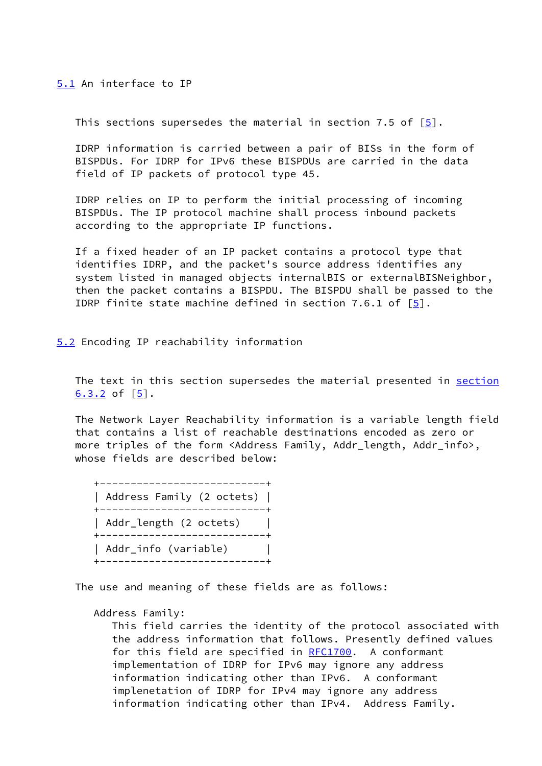<span id="page-5-0"></span>[5.1](#page-5-0) An interface to IP

This sections supersedes the material in section 7.5 of  $[5]$  $[5]$ .

 IDRP information is carried between a pair of BISs in the form of BISPDUs. For IDRP for IPv6 these BISPDUs are carried in the data field of IP packets of protocol type 45.

 IDRP relies on IP to perform the initial processing of incoming BISPDUs. The IP protocol machine shall process inbound packets according to the appropriate IP functions.

 If a fixed header of an IP packet contains a protocol type that identifies IDRP, and the packet's source address identifies any system listed in managed objects internalBIS or externalBISNeighbor, then the packet contains a BISPDU. The BISPDU shall be passed to the IDRP finite state machine defined in section 7.6.1 of [[5\]](#page-22-0).

<span id="page-5-1"></span>[5.2](#page-5-1) Encoding IP reachability information

The text in this section supersedes the material presented in section  $6.3.2$  of  $[5]$ .

 The Network Layer Reachability information is a variable length field that contains a list of reachable destinations encoded as zero or more triples of the form <Address Family, Addr\_length, Addr\_info>, whose fields are described below:

| Address Family (2 octets)               |
|-----------------------------------------|
| Addr_length (2 octets)<br>------------- |
| Addr_info (variable)                    |

The use and meaning of these fields are as follows:

Address Family:

 This field carries the identity of the protocol associated with the address information that follows. Presently defined values for this field are specified in [RFC1700](https://datatracker.ietf.org/doc/pdf/rfc1700). A conformant implementation of IDRP for IPv6 may ignore any address information indicating other than IPv6. A conformant implenetation of IDRP for IPv4 may ignore any address information indicating other than IPv4. Address Family.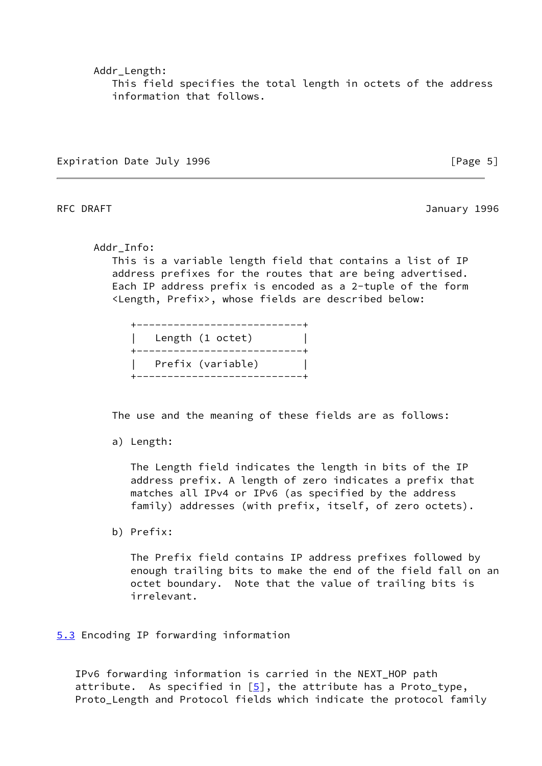Addr\_Length:

 This field specifies the total length in octets of the address information that follows.

Expiration Date July 1996 **Expiration** Date July 1996

RFC DRAFT 3996

Addr\_Info:

 This is a variable length field that contains a list of IP address prefixes for the routes that are being advertised. Each IP address prefix is encoded as a 2-tuple of the form <Length, Prefix>, whose fields are described below:

| -------------------                       |  |
|-------------------------------------------|--|
| Length (1 octet)<br>_____________________ |  |
| Prefix (variable)                         |  |

The use and the meaning of these fields are as follows:

a) Length:

 The Length field indicates the length in bits of the IP address prefix. A length of zero indicates a prefix that matches all IPv4 or IPv6 (as specified by the address family) addresses (with prefix, itself, of zero octets).

b) Prefix:

 The Prefix field contains IP address prefixes followed by enough trailing bits to make the end of the field fall on an octet boundary. Note that the value of trailing bits is irrelevant.

<span id="page-6-0"></span>[5.3](#page-6-0) Encoding IP forwarding information

 IPv6 forwarding information is carried in the NEXT\_HOP path attribute. As specified in  $[5]$  $[5]$ , the attribute has a Proto\_type, Proto\_Length and Protocol fields which indicate the protocol family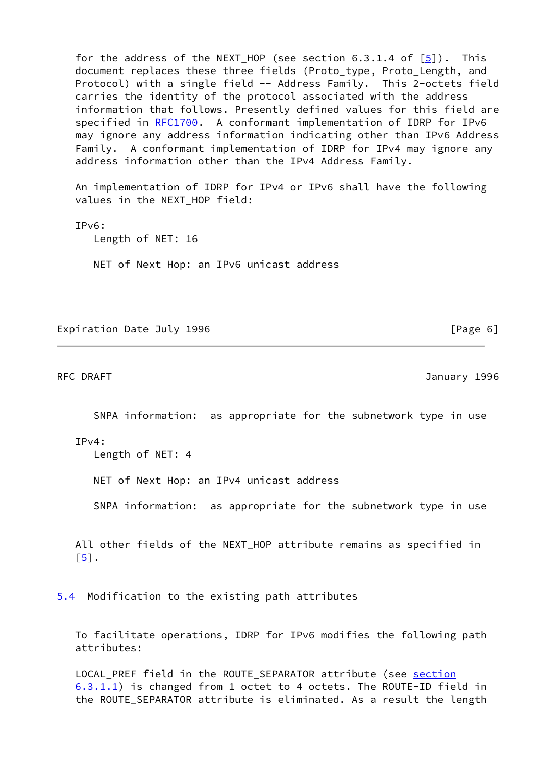for the address of the NEXT HOP (see section  $6.3.1.4$  of  $[5]$  $[5]$ ). This document replaces these three fields (Proto\_type, Proto\_Length, and Protocol) with a single field -- Address Family. This 2-octets field carries the identity of the protocol associated with the address information that follows. Presently defined values for this field are specified in [RFC1700](https://datatracker.ietf.org/doc/pdf/rfc1700). A conformant implementation of IDRP for IPv6 may ignore any address information indicating other than IPv6 Address Family. A conformant implementation of IDRP for IPv4 may ignore any address information other than the IPv4 Address Family.

 An implementation of IDRP for IPv4 or IPv6 shall have the following values in the NEXT\_HOP field:

 IPv6: Length of NET: 16 NET of Next Hop: an IPv6 unicast address

Expiration Date July 1996 **and Server Contracts** [Page 6]

RFC DRAFT 3996

SNPA information: as appropriate for the subnetwork type in use

IPv4:

Length of NET: 4

NET of Next Hop: an IPv4 unicast address

SNPA information: as appropriate for the subnetwork type in use

 All other fields of the NEXT\_HOP attribute remains as specified in [\[5](#page-22-0)].

<span id="page-7-0"></span>[5.4](#page-7-0) Modification to the existing path attributes

 To facilitate operations, IDRP for IPv6 modifies the following path attributes:

 LOCAL\_PREF field in the ROUTE\_SEPARATOR attribute (see section 6.3.1.1) is changed from 1 octet to 4 octets. The ROUTE-ID field in the ROUTE\_SEPARATOR attribute is eliminated. As a result the length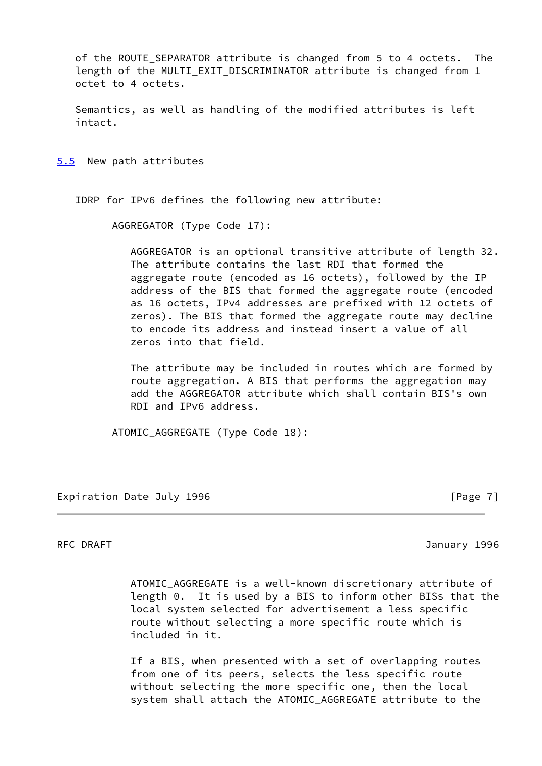of the ROUTE SEPARATOR attribute is changed from 5 to 4 octets. The length of the MULTI\_EXIT\_DISCRIMINATOR attribute is changed from 1 octet to 4 octets.

 Semantics, as well as handling of the modified attributes is left intact.

<span id="page-8-0"></span>[5.5](#page-8-0) New path attributes

IDRP for IPv6 defines the following new attribute:

AGGREGATOR (Type Code 17):

 AGGREGATOR is an optional transitive attribute of length 32. The attribute contains the last RDI that formed the aggregate route (encoded as 16 octets), followed by the IP address of the BIS that formed the aggregate route (encoded as 16 octets, IPv4 addresses are prefixed with 12 octets of zeros). The BIS that formed the aggregate route may decline to encode its address and instead insert a value of all zeros into that field.

 The attribute may be included in routes which are formed by route aggregation. A BIS that performs the aggregation may add the AGGREGATOR attribute which shall contain BIS's own RDI and IPv6 address.

ATOMIC\_AGGREGATE (Type Code 18):

Expiration Date July 1996 **Expiration** Date July 1996

RFC DRAFT 3996

 ATOMIC\_AGGREGATE is a well-known discretionary attribute of length 0. It is used by a BIS to inform other BISs that the local system selected for advertisement a less specific route without selecting a more specific route which is included in it.

 If a BIS, when presented with a set of overlapping routes from one of its peers, selects the less specific route without selecting the more specific one, then the local system shall attach the ATOMIC\_AGGREGATE attribute to the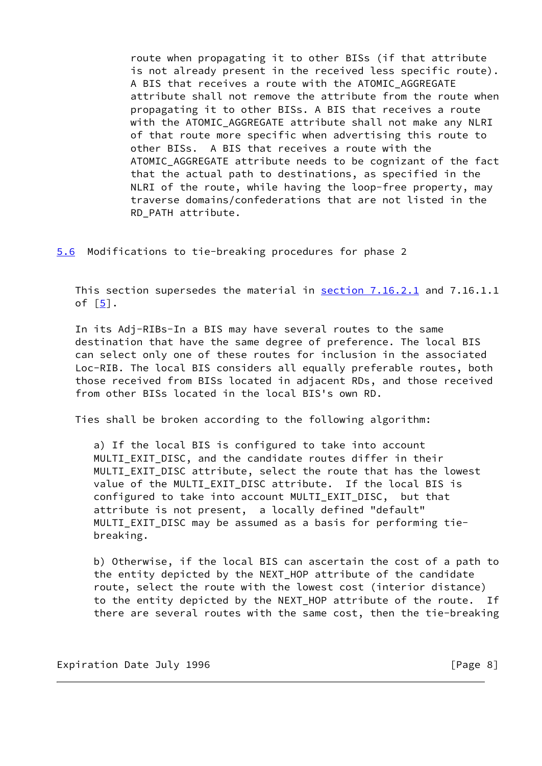route when propagating it to other BISs (if that attribute is not already present in the received less specific route). A BIS that receives a route with the ATOMIC AGGREGATE attribute shall not remove the attribute from the route when propagating it to other BISs. A BIS that receives a route with the ATOMIC AGGREGATE attribute shall not make any NLRI of that route more specific when advertising this route to other BISs. A BIS that receives a route with the ATOMIC\_AGGREGATE attribute needs to be cognizant of the fact that the actual path to destinations, as specified in the NLRI of the route, while having the loop-free property, may traverse domains/confederations that are not listed in the RD\_PATH attribute.

<span id="page-9-0"></span>[5.6](#page-9-0) Modifications to tie-breaking procedures for phase 2

 This section supersedes the material in section 7.16.2.1 and 7.16.1.1 of  $\lceil 5 \rceil$ .

 In its Adj-RIBs-In a BIS may have several routes to the same destination that have the same degree of preference. The local BIS can select only one of these routes for inclusion in the associated Loc-RIB. The local BIS considers all equally preferable routes, both those received from BISs located in adjacent RDs, and those received from other BISs located in the local BIS's own RD.

Ties shall be broken according to the following algorithm:

 a) If the local BIS is configured to take into account MULTI\_EXIT\_DISC, and the candidate routes differ in their MULTI\_EXIT\_DISC attribute, select the route that has the lowest value of the MULTI\_EXIT\_DISC attribute. If the local BIS is configured to take into account MULTI\_EXIT\_DISC, but that attribute is not present, a locally defined "default" MULTI\_EXIT\_DISC may be assumed as a basis for performing tie breaking.

 b) Otherwise, if the local BIS can ascertain the cost of a path to the entity depicted by the NEXT\_HOP attribute of the candidate route, select the route with the lowest cost (interior distance) to the entity depicted by the NEXT\_HOP attribute of the route. If there are several routes with the same cost, then the tie-breaking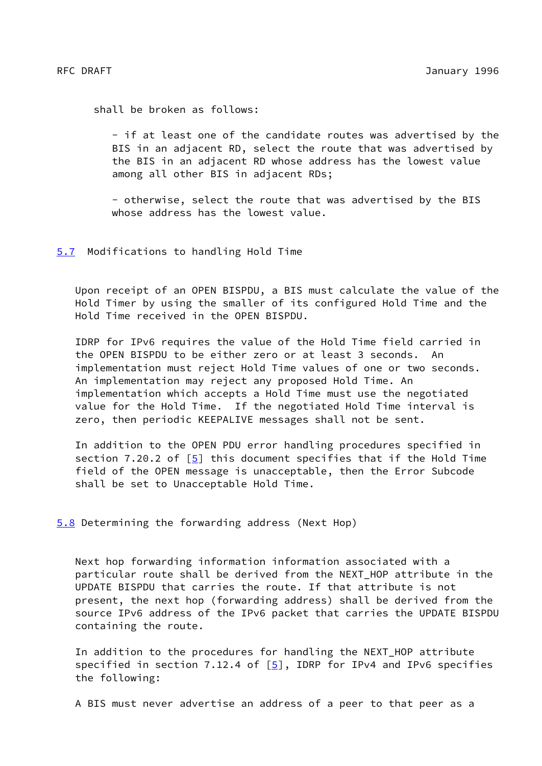shall be broken as follows:

 - if at least one of the candidate routes was advertised by the BIS in an adjacent RD, select the route that was advertised by the BIS in an adjacent RD whose address has the lowest value among all other BIS in adjacent RDs;

 - otherwise, select the route that was advertised by the BIS whose address has the lowest value.

<span id="page-10-0"></span>[5.7](#page-10-0) Modifications to handling Hold Time

 Upon receipt of an OPEN BISPDU, a BIS must calculate the value of the Hold Timer by using the smaller of its configured Hold Time and the Hold Time received in the OPEN BISPDU.

 IDRP for IPv6 requires the value of the Hold Time field carried in the OPEN BISPDU to be either zero or at least 3 seconds. An implementation must reject Hold Time values of one or two seconds. An implementation may reject any proposed Hold Time. An implementation which accepts a Hold Time must use the negotiated value for the Hold Time. If the negotiated Hold Time interval is zero, then periodic KEEPALIVE messages shall not be sent.

 In addition to the OPEN PDU error handling procedures specified in section 7.20.2 of  $\boxed{5}$  this document specifies that if the Hold Time field of the OPEN message is unacceptable, then the Error Subcode shall be set to Unacceptable Hold Time.

<span id="page-10-1"></span>[5.8](#page-10-1) Determining the forwarding address (Next Hop)

 Next hop forwarding information information associated with a particular route shall be derived from the NEXT\_HOP attribute in the UPDATE BISPDU that carries the route. If that attribute is not present, the next hop (forwarding address) shall be derived from the source IPv6 address of the IPv6 packet that carries the UPDATE BISPDU containing the route.

 In addition to the procedures for handling the NEXT\_HOP attribute specified in section 7.12.4 of  $[5]$  $[5]$ , IDRP for IPv4 and IPv6 specifies the following:

A BIS must never advertise an address of a peer to that peer as a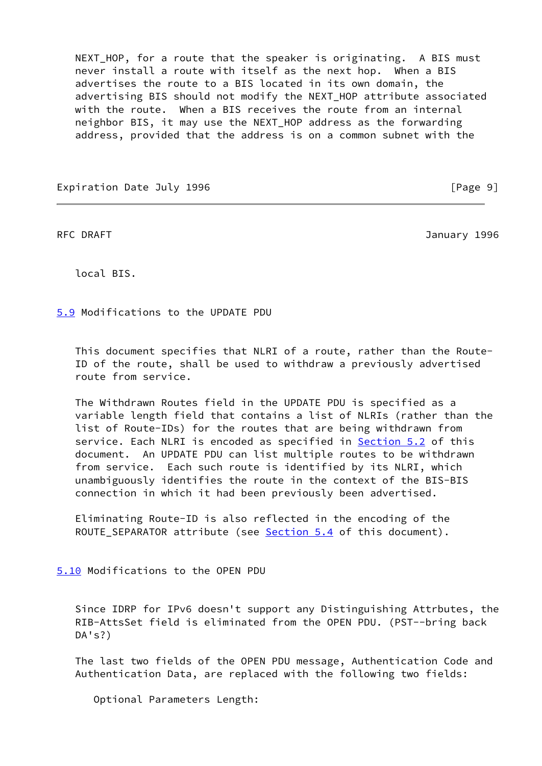NEXT HOP, for a route that the speaker is originating. A BIS must never install a route with itself as the next hop. When a BIS advertises the route to a BIS located in its own domain, the advertising BIS should not modify the NEXT\_HOP attribute associated with the route. When a BIS receives the route from an internal neighbor BIS, it may use the NEXT\_HOP address as the forwarding address, provided that the address is on a common subnet with the

Expiration Date July 1996 **by the Contract of Contract Contract Contract Contract Contract Contract Contract Contract Contract Contract Contract Contract Contract Contract Contract Contract Contract Contract Contract Contr** 

RFC DRAFT 3996

local BIS.

<span id="page-11-0"></span>[5.9](#page-11-0) Modifications to the UPDATE PDU

 This document specifies that NLRI of a route, rather than the Route- ID of the route, shall be used to withdraw a previously advertised route from service.

 The Withdrawn Routes field in the UPDATE PDU is specified as a variable length field that contains a list of NLRIs (rather than the list of Route-IDs) for the routes that are being withdrawn from service. Each NLRI is encoded as specified in **Section 5.2** of this document. An UPDATE PDU can list multiple routes to be withdrawn from service. Each such route is identified by its NLRI, which unambiguously identifies the route in the context of the BIS-BIS connection in which it had been previously been advertised.

 Eliminating Route-ID is also reflected in the encoding of the ROUTE\_SEPARATOR attribute (see [Section 5.4](#page-7-0) of this document).

<span id="page-11-1"></span>[5.10](#page-11-1) Modifications to the OPEN PDU

 Since IDRP for IPv6 doesn't support any Distinguishing Attrbutes, the RIB-AttsSet field is eliminated from the OPEN PDU. (PST--bring back DA's?)

 The last two fields of the OPEN PDU message, Authentication Code and Authentication Data, are replaced with the following two fields:

Optional Parameters Length: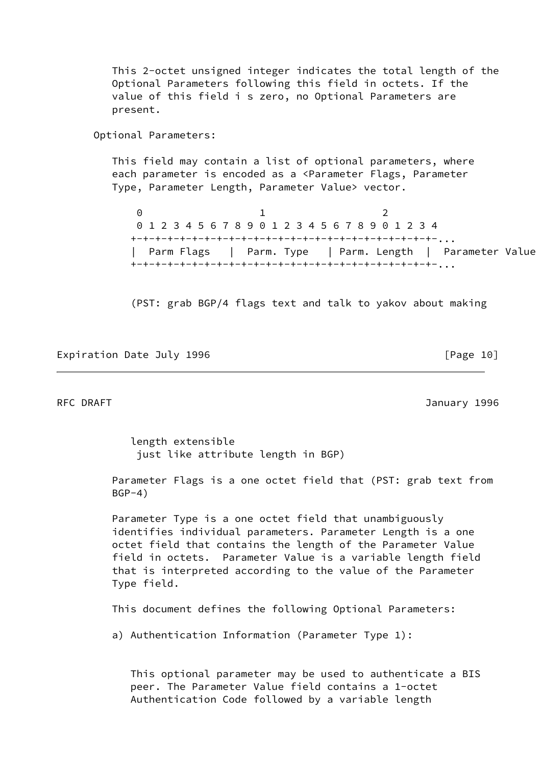This 2-octet unsigned integer indicates the total length of the Optional Parameters following this field in octets. If the value of this field i s zero, no Optional Parameters are present. Optional Parameters: This field may contain a list of optional parameters, where each parameter is encoded as a <Parameter Flags, Parameter Type, Parameter Length, Parameter Value> vector. 0 1 2 0 1 2 3 4 5 6 7 8 9 0 1 2 3 4 5 6 7 8 9 0 1 2 3 4 +-+-+-+-+-+-+-+-+-+-+-+-+-+-+-+-+-+-+-+-+-+-+-+-+-... | Parm Flags | Parm. Type | Parm. Length | Parameter Value +-+-+-+-+-+-+-+-+-+-+-+-+-+-+-+-+-+-+-+-+-+-+-+-+-...

(PST: grab BGP/4 flags text and talk to yakov about making

Expiration Date July 1996 **by the Contract Contract Contract Contract Contract Contract Contract Contract Contract** 

RFC DRAFT 3996

 length extensible just like attribute length in BGP)

 Parameter Flags is a one octet field that (PST: grab text from  $BGP-4)$ 

 Parameter Type is a one octet field that unambiguously identifies individual parameters. Parameter Length is a one octet field that contains the length of the Parameter Value field in octets. Parameter Value is a variable length field that is interpreted according to the value of the Parameter Type field.

This document defines the following Optional Parameters:

a) Authentication Information (Parameter Type 1):

 This optional parameter may be used to authenticate a BIS peer. The Parameter Value field contains a 1-octet Authentication Code followed by a variable length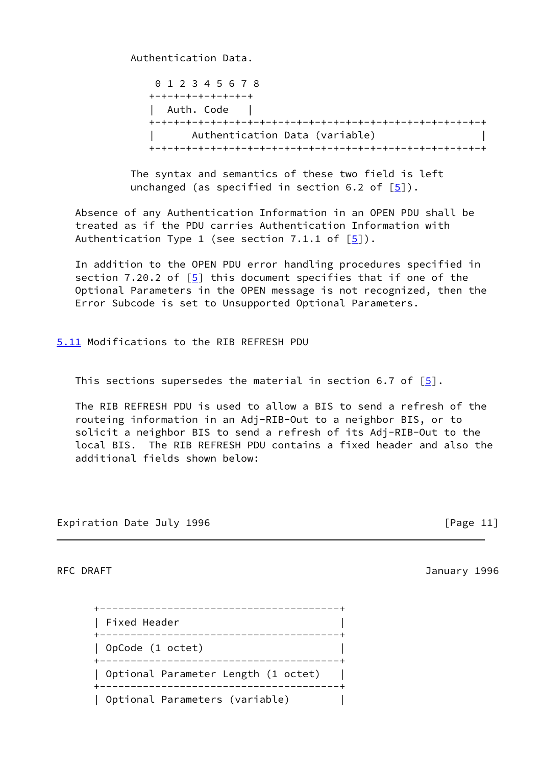Authentication Data.

 0 1 2 3 4 5 6 7 8 +-+-+-+-+-+-+-+-+ | Auth. Code | +-+-+-+-+-+-+-+-+-+-+-+-+-+-+-+-+-+-+-+-+-+-+-+-+-+-+-+ | Authentication Data (variable) | +-+-+-+-+-+-+-+-+-+-+-+-+-+-+-+-+-+-+-+-+-+-+-+-+-+-+-+

 The syntax and semantics of these two field is left unchanged (as specified in section 6.2 of  $[5]$  $[5]$ ).

 Absence of any Authentication Information in an OPEN PDU shall be treated as if the PDU carries Authentication Information with Authentication Type 1 (see section 7.1.1 of  $[5]$  $[5]$ ).

 In addition to the OPEN PDU error handling procedures specified in section 7.20.2 of  $\lceil 5 \rceil$  this document specifies that if one of the Optional Parameters in the OPEN message is not recognized, then the Error Subcode is set to Unsupported Optional Parameters.

<span id="page-13-0"></span>[5.11](#page-13-0) Modifications to the RIB REFRESH PDU

This sections supersedes the material in section 6.7 of  $[5]$  $[5]$ .

 The RIB REFRESH PDU is used to allow a BIS to send a refresh of the routeing information in an Adj-RIB-Out to a neighbor BIS, or to solicit a neighbor BIS to send a refresh of its Adj-RIB-Out to the local BIS. The RIB REFRESH PDU contains a fixed header and also the additional fields shown below:

Expiration Date July 1996 **Expiration** Date July 1996

RFC DRAFT 3996

| Fixed Header                        |  |
|-------------------------------------|--|
| OpCode (1 octet)                    |  |
| Optional Parameter Length (1 octet) |  |
| Optional Parameters (variable)      |  |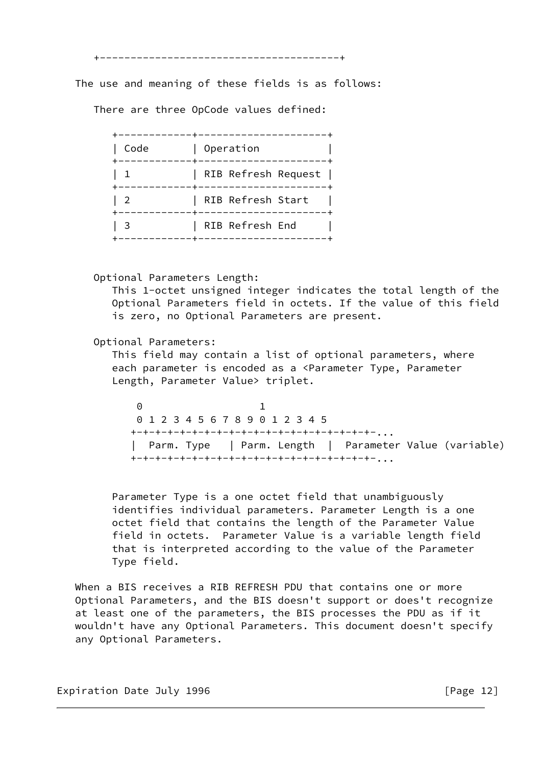+---------------------------------------+

The use and meaning of these fields is as follows:

There are three OpCode values defined:

| Code | Operation           |
|------|---------------------|
|      | RIB Refresh Request |
|      | RIB Refresh Start   |
|      | RIB Refresh End     |

Optional Parameters Length:

 This 1-octet unsigned integer indicates the total length of the Optional Parameters field in octets. If the value of this field is zero, no Optional Parameters are present.

Optional Parameters:

 This field may contain a list of optional parameters, where each parameter is encoded as a <Parameter Type, Parameter Length, Parameter Value> triplet.

 0 1 0 1 2 3 4 5 6 7 8 9 0 1 2 3 4 5 +-+-+-+-+-+-+-+-+-+-+-+-+-+-+-+-+-+-+-+-... | Parm. Type | Parm. Length | Parameter Value (variable) +-+-+-+-+-+-+-+-+-+-+-+-+-+-+-+-+-+-+-+-...

> Parameter Type is a one octet field that unambiguously identifies individual parameters. Parameter Length is a one octet field that contains the length of the Parameter Value field in octets. Parameter Value is a variable length field that is interpreted according to the value of the Parameter Type field.

When a BIS receives a RIB REFRESH PDU that contains one or more Optional Parameters, and the BIS doesn't support or does't recognize at least one of the parameters, the BIS processes the PDU as if it wouldn't have any Optional Parameters. This document doesn't specify any Optional Parameters.

Expiration Date July 1996 **Expiration** Date July 1996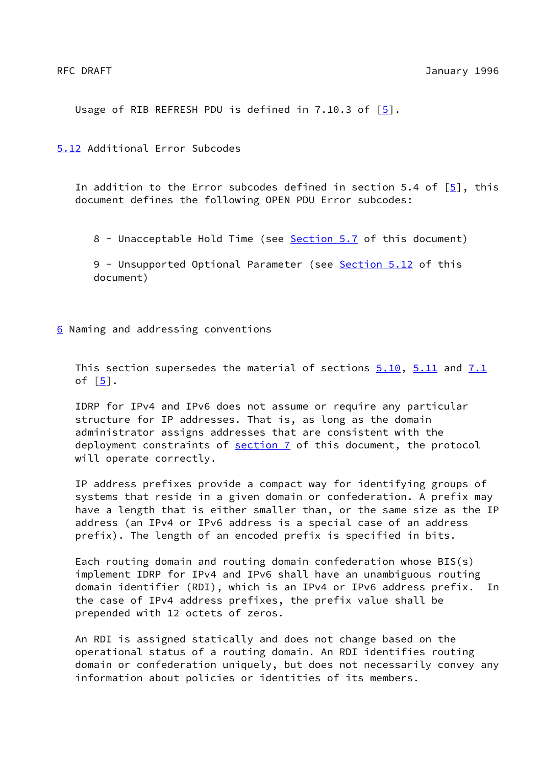Usage of RIB REFRESH PDU is defined in 7.10.3 of  $[5]$ .

<span id="page-15-0"></span>[5.12](#page-15-0) Additional Error Subcodes

In addition to the Error subcodes defined in section 5.4 of  $[5]$  $[5]$ , this document defines the following OPEN PDU Error subcodes:

8 - Unacceptable Hold Time (see [Section 5.7](#page-10-0) of this document)

9 - Unsupported Optional Parameter (see [Section 5.12](#page-15-0) of this document)

<span id="page-15-1"></span>[6](#page-15-1) Naming and addressing conventions

This section supersedes the material of sections  $5.10$ ,  $5.11$  and  $7.1$ of  $[5]$  $[5]$ .

 IDRP for IPv4 and IPv6 does not assume or require any particular structure for IP addresses. That is, as long as the domain administrator assigns addresses that are consistent with the deployment constraints of [section 7](#page-16-1) of this document, the protocol will operate correctly.

 IP address prefixes provide a compact way for identifying groups of systems that reside in a given domain or confederation. A prefix may have a length that is either smaller than, or the same size as the IP address (an IPv4 or IPv6 address is a special case of an address prefix). The length of an encoded prefix is specified in bits.

 Each routing domain and routing domain confederation whose BIS(s) implement IDRP for IPv4 and IPv6 shall have an unambiguous routing domain identifier (RDI), which is an IPv4 or IPv6 address prefix. In the case of IPv4 address prefixes, the prefix value shall be prepended with 12 octets of zeros.

 An RDI is assigned statically and does not change based on the operational status of a routing domain. An RDI identifies routing domain or confederation uniquely, but does not necessarily convey any information about policies or identities of its members.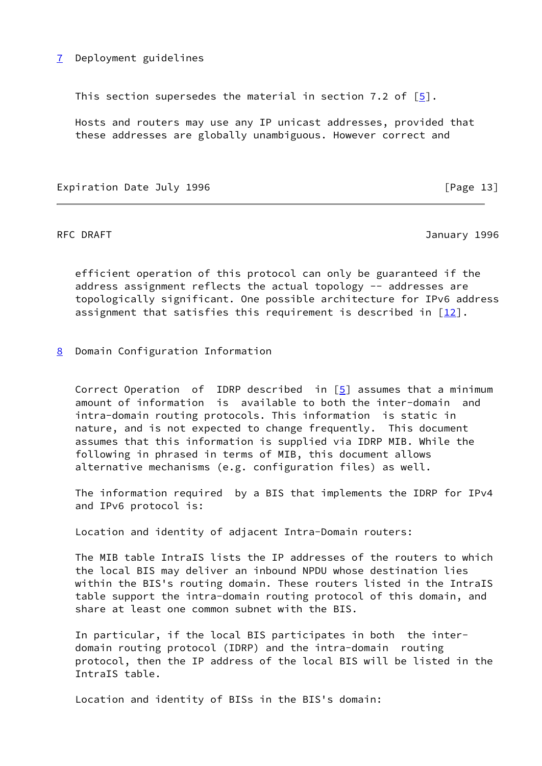# <span id="page-16-1"></span>[7](#page-16-1) Deployment guidelines

This section supersedes the material in section 7.2 of  $[5]$  $[5]$ .

 Hosts and routers may use any IP unicast addresses, provided that these addresses are globally unambiguous. However correct and

Expiration Date July 1996 **Expiration** Date July 1996

RFC DRAFT 3996

 efficient operation of this protocol can only be guaranteed if the address assignment reflects the actual topology -- addresses are topologically significant. One possible architecture for IPv6 address assignment that satisfies this requirement is described in  $[12]$  $[12]$ .

<span id="page-16-0"></span>[8](#page-16-0) Domain Configuration Information

 Correct Operation of IDRP described in [[5\]](#page-22-0) assumes that a minimum amount of information is available to both the inter-domain and intra-domain routing protocols. This information is static in nature, and is not expected to change frequently. This document assumes that this information is supplied via IDRP MIB. While the following in phrased in terms of MIB, this document allows alternative mechanisms (e.g. configuration files) as well.

 The information required by a BIS that implements the IDRP for IPv4 and IPv6 protocol is:

Location and identity of adjacent Intra-Domain routers:

 The MIB table IntraIS lists the IP addresses of the routers to which the local BIS may deliver an inbound NPDU whose destination lies within the BIS's routing domain. These routers listed in the IntraIS table support the intra-domain routing protocol of this domain, and share at least one common subnet with the BIS.

 In particular, if the local BIS participates in both the inter domain routing protocol (IDRP) and the intra-domain routing protocol, then the IP address of the local BIS will be listed in the IntraIS table.

Location and identity of BISs in the BIS's domain: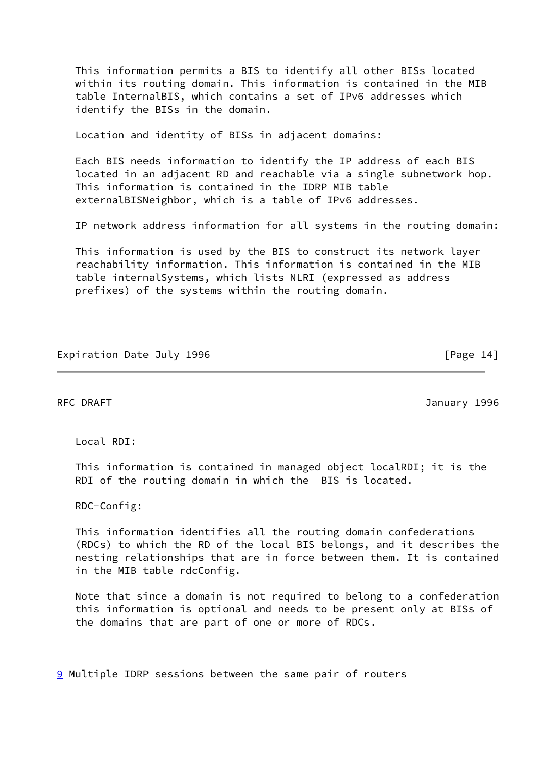This information permits a BIS to identify all other BISs located within its routing domain. This information is contained in the MIB table InternalBIS, which contains a set of IPv6 addresses which identify the BISs in the domain.

Location and identity of BISs in adjacent domains:

 Each BIS needs information to identify the IP address of each BIS located in an adjacent RD and reachable via a single subnetwork hop. This information is contained in the IDRP MIB table externalBISNeighbor, which is a table of IPv6 addresses.

IP network address information for all systems in the routing domain:

 This information is used by the BIS to construct its network layer reachability information. This information is contained in the MIB table internalSystems, which lists NLRI (expressed as address prefixes) of the systems within the routing domain.

## Expiration Date July 1996 **Expiration** [Page 14]

RFC DRAFT 3996

Local RDI:

 This information is contained in managed object localRDI; it is the RDI of the routing domain in which the BIS is located.

RDC-Config:

 This information identifies all the routing domain confederations (RDCs) to which the RD of the local BIS belongs, and it describes the nesting relationships that are in force between them. It is contained in the MIB table rdcConfig.

 Note that since a domain is not required to belong to a confederation this information is optional and needs to be present only at BISs of the domains that are part of one or more of RDCs.

<span id="page-17-0"></span>[9](#page-17-0) Multiple IDRP sessions between the same pair of routers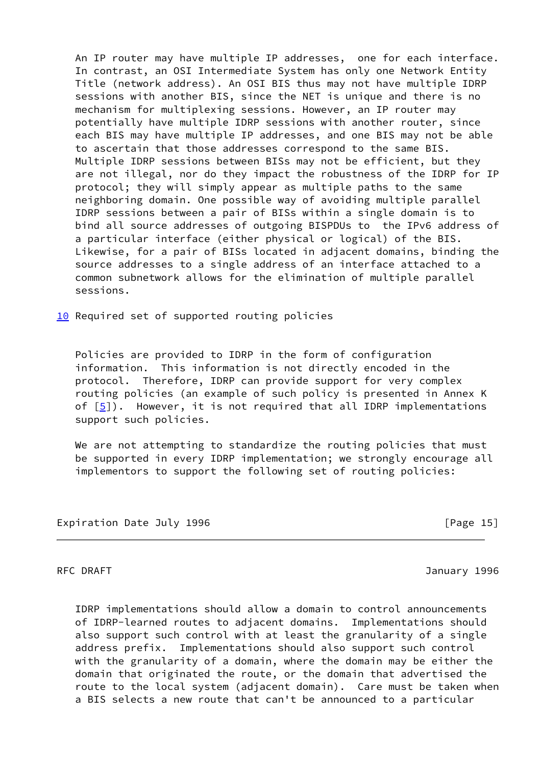An IP router may have multiple IP addresses, one for each interface. In contrast, an OSI Intermediate System has only one Network Entity Title (network address). An OSI BIS thus may not have multiple IDRP sessions with another BIS, since the NET is unique and there is no mechanism for multiplexing sessions. However, an IP router may potentially have multiple IDRP sessions with another router, since each BIS may have multiple IP addresses, and one BIS may not be able to ascertain that those addresses correspond to the same BIS. Multiple IDRP sessions between BISs may not be efficient, but they are not illegal, nor do they impact the robustness of the IDRP for IP protocol; they will simply appear as multiple paths to the same neighboring domain. One possible way of avoiding multiple parallel IDRP sessions between a pair of BISs within a single domain is to bind all source addresses of outgoing BISPDUs to the IPv6 address of a particular interface (either physical or logical) of the BIS. Likewise, for a pair of BISs located in adjacent domains, binding the source addresses to a single address of an interface attached to a common subnetwork allows for the elimination of multiple parallel sessions.

<span id="page-18-0"></span>[10](#page-18-0) Required set of supported routing policies

 Policies are provided to IDRP in the form of configuration information. This information is not directly encoded in the protocol. Therefore, IDRP can provide support for very complex routing policies (an example of such policy is presented in Annex K of  $[5]$  $[5]$ ). However, it is not required that all IDRP implementations support such policies.

We are not attempting to standardize the routing policies that must be supported in every IDRP implementation; we strongly encourage all implementors to support the following set of routing policies:

Expiration Date July 1996 **Expiration** Date July 1996

RFC DRAFT 3996

 IDRP implementations should allow a domain to control announcements of IDRP-learned routes to adjacent domains. Implementations should also support such control with at least the granularity of a single address prefix. Implementations should also support such control with the granularity of a domain, where the domain may be either the domain that originated the route, or the domain that advertised the route to the local system (adjacent domain). Care must be taken when a BIS selects a new route that can't be announced to a particular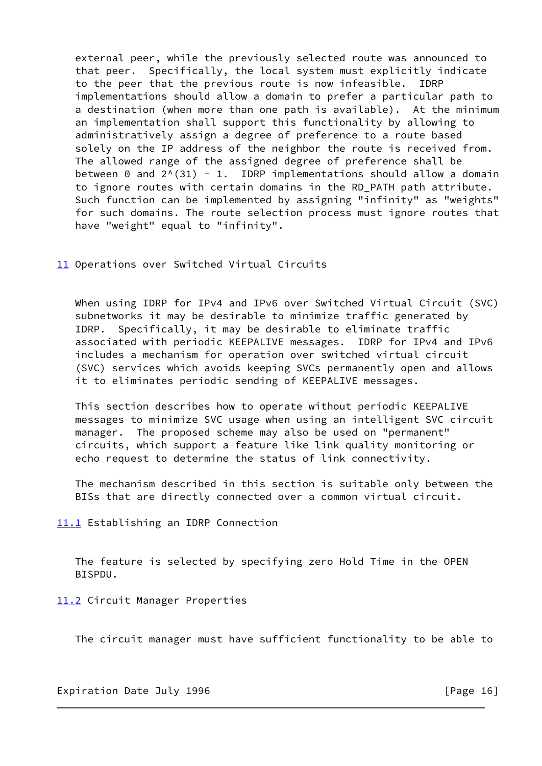external peer, while the previously selected route was announced to that peer. Specifically, the local system must explicitly indicate to the peer that the previous route is now infeasible. IDRP implementations should allow a domain to prefer a particular path to a destination (when more than one path is available). At the minimum an implementation shall support this functionality by allowing to administratively assign a degree of preference to a route based solely on the IP address of the neighbor the route is received from. The allowed range of the assigned degree of preference shall be between 0 and  $2^{\wedge}(31) - 1$ . IDRP implementations should allow a domain to ignore routes with certain domains in the RD\_PATH path attribute. Such function can be implemented by assigning "infinity" as "weights" for such domains. The route selection process must ignore routes that have "weight" equal to "infinity".

<span id="page-19-0"></span>[11](#page-19-0) Operations over Switched Virtual Circuits

 When using IDRP for IPv4 and IPv6 over Switched Virtual Circuit (SVC) subnetworks it may be desirable to minimize traffic generated by IDRP. Specifically, it may be desirable to eliminate traffic associated with periodic KEEPALIVE messages. IDRP for IPv4 and IPv6 includes a mechanism for operation over switched virtual circuit (SVC) services which avoids keeping SVCs permanently open and allows it to eliminates periodic sending of KEEPALIVE messages.

 This section describes how to operate without periodic KEEPALIVE messages to minimize SVC usage when using an intelligent SVC circuit manager. The proposed scheme may also be used on "permanent" circuits, which support a feature like link quality monitoring or echo request to determine the status of link connectivity.

 The mechanism described in this section is suitable only between the BISs that are directly connected over a common virtual circuit.

<span id="page-19-1"></span>[11.1](#page-19-1) Establishing an IDRP Connection

 The feature is selected by specifying zero Hold Time in the OPEN BISPDU.

<span id="page-19-2"></span>[11.2](#page-19-2) Circuit Manager Properties

The circuit manager must have sufficient functionality to be able to

Expiration Date July 1996 **Expiration** Date July 1996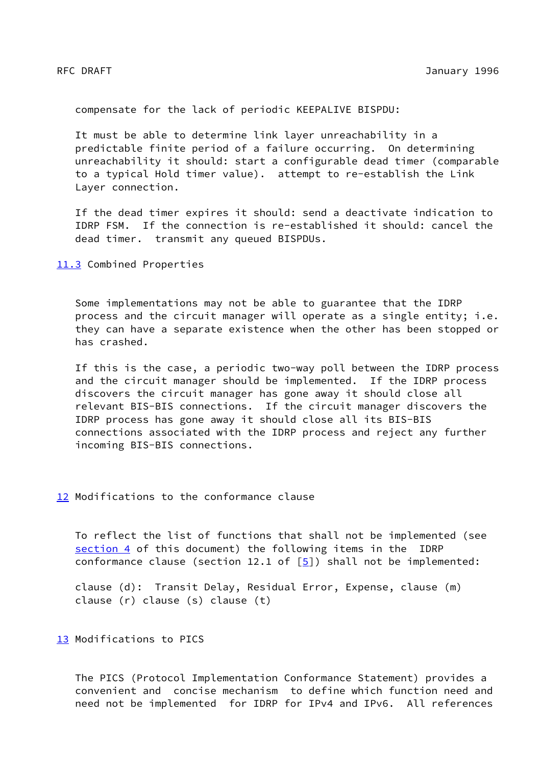compensate for the lack of periodic KEEPALIVE BISPDU:

 It must be able to determine link layer unreachability in a predictable finite period of a failure occurring. On determining unreachability it should: start a configurable dead timer (comparable to a typical Hold timer value). attempt to re-establish the Link Layer connection.

 If the dead timer expires it should: send a deactivate indication to IDRP FSM. If the connection is re-established it should: cancel the dead timer. transmit any queued BISPDUs.

<span id="page-20-0"></span>[11.3](#page-20-0) Combined Properties

 Some implementations may not be able to guarantee that the IDRP process and the circuit manager will operate as a single entity; i.e. they can have a separate existence when the other has been stopped or has crashed.

 If this is the case, a periodic two-way poll between the IDRP process and the circuit manager should be implemented. If the IDRP process discovers the circuit manager has gone away it should close all relevant BIS-BIS connections. If the circuit manager discovers the IDRP process has gone away it should close all its BIS-BIS connections associated with the IDRP process and reject any further incoming BIS-BIS connections.

<span id="page-20-1"></span>[12](#page-20-1) Modifications to the conformance clause

 To reflect the list of functions that shall not be implemented (see [section 4](#page-3-0) of this document) the following items in the IDRP conformance clause (section 12.1 of  $[5]$  $[5]$ ) shall not be implemented:

 clause (d): Transit Delay, Residual Error, Expense, clause (m) clause (r) clause (s) clause (t)

<span id="page-20-2"></span>[13](#page-20-2) Modifications to PICS

 The PICS (Protocol Implementation Conformance Statement) provides a convenient and concise mechanism to define which function need and need not be implemented for IDRP for IPv4 and IPv6. All references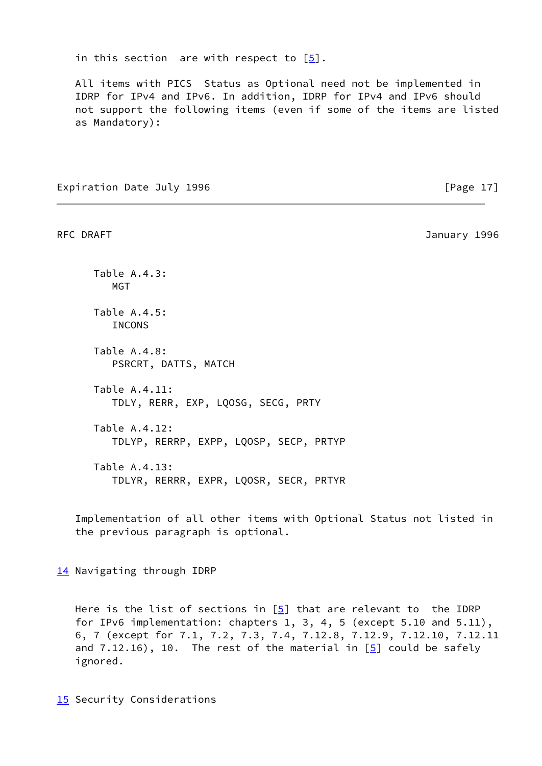in this section are with respect to  $\lceil 5 \rceil$ .

 All items with PICS Status as Optional need not be implemented in IDRP for IPv4 and IPv6. In addition, IDRP for IPv4 and IPv6 should not support the following items (even if some of the items are listed as Mandatory):

Expiration Date July 1996 **Expiration** Date July 1996

RFC DRAFT 3996

 Table A.4.3: MGT Table A.4.5: **INCONS**  Table A.4.8: PSRCRT, DATTS, MATCH Table A.4.11: TDLY, RERR, EXP, LQOSG, SECG, PRTY Table A.4.12: TDLYP, RERRP, EXPP, LQOSP, SECP, PRTYP Table A.4.13: TDLYR, RERRR, EXPR, LQOSR, SECR, PRTYR

 Implementation of all other items with Optional Status not listed in the previous paragraph is optional.

<span id="page-21-0"></span>[14](#page-21-0) Navigating through IDRP

Here is the list of sections in  $[5]$  $[5]$  that are relevant to the IDRP for IPv6 implementation: chapters 1, 3, 4, 5 (except 5.10 and 5.11), 6, 7 (except for 7.1, 7.2, 7.3, 7.4, 7.12.8, 7.12.9, 7.12.10, 7.12.11 and  $7.12.16$ ,  $10.$  The rest of the material in  $[5]$  $[5]$  could be safely ignored.

<span id="page-21-1"></span>**15** Security Considerations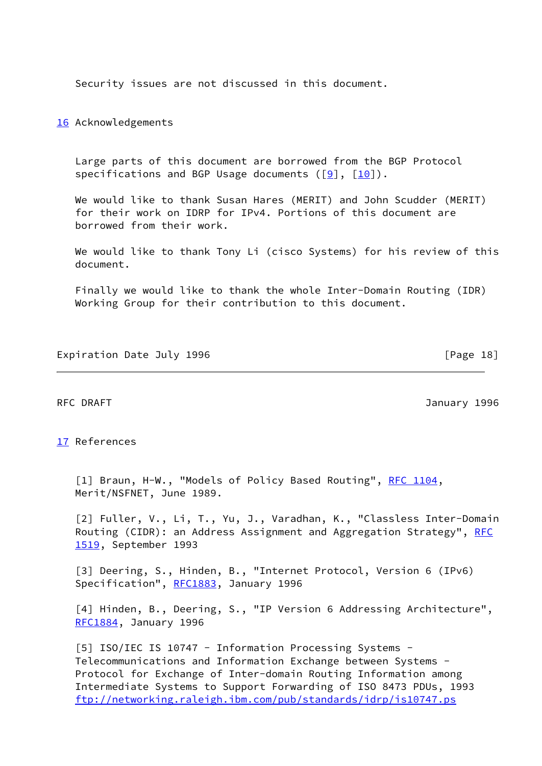Security issues are not discussed in this document.

<span id="page-22-5"></span>[16](#page-22-5) Acknowledgements

 Large parts of this document are borrowed from the BGP Protocol specifications and BGP Usage documents  $([9], [10])$  $([9], [10])$  $([9], [10])$  $([9], [10])$  $([9], [10])$ .

 We would like to thank Susan Hares (MERIT) and John Scudder (MERIT) for their work on IDRP for IPv4. Portions of this document are borrowed from their work.

 We would like to thank Tony Li (cisco Systems) for his review of this document.

 Finally we would like to thank the whole Inter-Domain Routing (IDR) Working Group for their contribution to this document.

Expiration Date July 1996 **Expiration** Date July 1996

RFC DRAFT 3996

### <span id="page-22-6"></span>[17](#page-22-6) References

<span id="page-22-1"></span>[1] Braun, H-W., "Models of Policy Based Routing", [RFC 1104,](https://datatracker.ietf.org/doc/pdf/rfc1104) Merit/NSFNET, June 1989.

<span id="page-22-2"></span> [2] Fuller, V., Li, T., Yu, J., Varadhan, K., "Classless Inter-Domain Routing (CIDR): an Address Assignment and Aggregation Strategy", [RFC](https://datatracker.ietf.org/doc/pdf/rfc1519) [1519](https://datatracker.ietf.org/doc/pdf/rfc1519), September 1993

<span id="page-22-3"></span> [3] Deering, S., Hinden, B., "Internet Protocol, Version 6 (IPv6) Specification", [RFC1883](https://datatracker.ietf.org/doc/pdf/rfc1883), January 1996

<span id="page-22-4"></span> [4] Hinden, B., Deering, S., "IP Version 6 Addressing Architecture", [RFC1884](https://datatracker.ietf.org/doc/pdf/rfc1884), January 1996

<span id="page-22-0"></span>[5] ISO/IEC IS 10747 - Information Processing Systems - Telecommunications and Information Exchange between Systems - Protocol for Exchange of Inter-domain Routing Information among Intermediate Systems to Support Forwarding of ISO 8473 PDUs, 1993 <ftp://networking.raleigh.ibm.com/pub/standards/idrp/is10747.ps>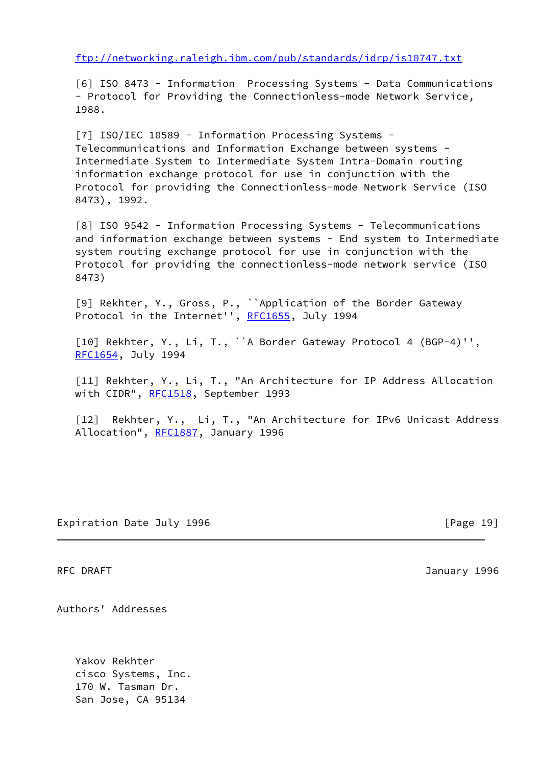<ftp://networking.raleigh.ibm.com/pub/standards/idrp/is10747.txt>

<span id="page-23-0"></span> [6] ISO 8473 - Information Processing Systems - Data Communications - Protocol for Providing the Connectionless-mode Network Service, 1988.

<span id="page-23-4"></span>[7] ISO/IEC 10589 - Information Processing Systems - Telecommunications and Information Exchange between systems - Intermediate System to Intermediate System Intra-Domain routing information exchange protocol for use in conjunction with the Protocol for providing the Connectionless-mode Network Service (ISO 8473), 1992.

<span id="page-23-5"></span> [8] ISO 9542 - Information Processing Systems - Telecommunications and information exchange between systems - End system to Intermediate system routing exchange protocol for use in conjunction with the Protocol for providing the connectionless-mode network service (ISO 8473)

<span id="page-23-1"></span> [9] Rekhter, Y., Gross, P., ``Application of the Border Gateway Protocol in the Internet'', [RFC1655,](https://datatracker.ietf.org/doc/pdf/rfc1655) July 1994

<span id="page-23-2"></span> [10] Rekhter, Y., Li, T., ``A Border Gateway Protocol 4 (BGP-4)'', [RFC1654](https://datatracker.ietf.org/doc/pdf/rfc1654), July 1994

<span id="page-23-3"></span> [11] Rekhter, Y., Li, T., "An Architecture for IP Address Allocation with CIDR", [RFC1518,](https://datatracker.ietf.org/doc/pdf/rfc1518) September 1993

<span id="page-23-6"></span> [12] Rekhter, Y., Li, T., "An Architecture for IPv6 Unicast Address Allocation", [RFC1887](https://datatracker.ietf.org/doc/pdf/rfc1887), January 1996

Expiration Date July 1996 **Expiration** Date July 1996

RFC DRAFT 3996

Authors' Addresses

 Yakov Rekhter cisco Systems, Inc. 170 W. Tasman Dr. San Jose, CA 95134